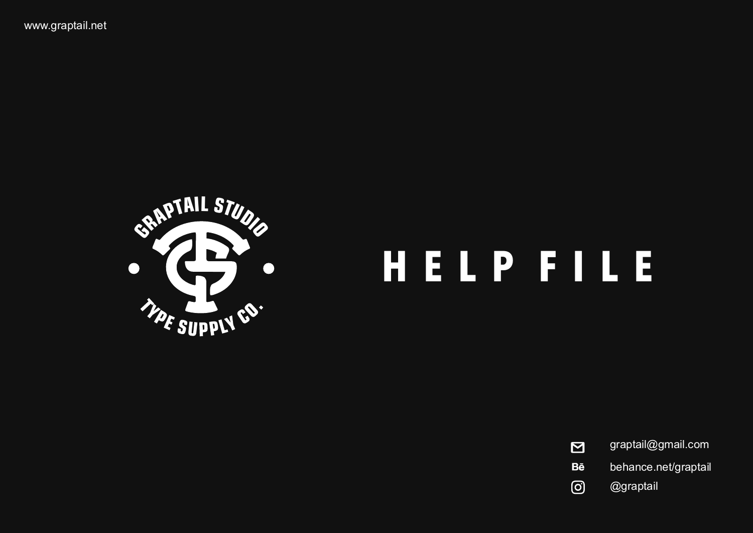

# **H E L P F I L E**

graptail@gmail.com  $\overline{\mathbf{M}}$ behance.net/graptail **Bē**  $\odot$ @graptail

www.graptail.net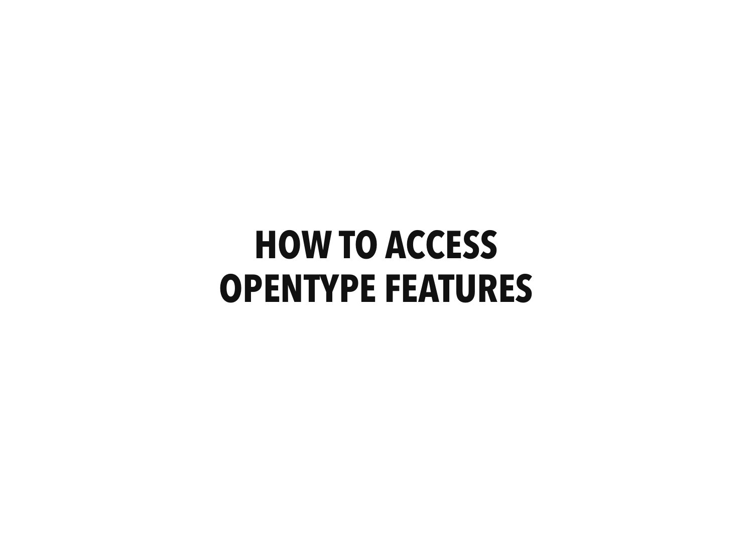## **HOW TO ACCESS OPENTYPE FEATURES**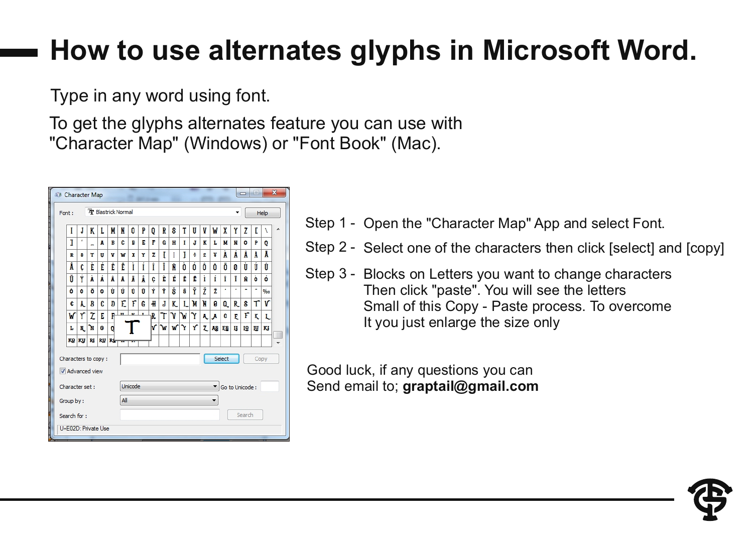### **How to use alternates glyphs in Microsoft Word.**

Type in any word using font.

To get the glyphs alternates feature you can use with "Character Map" (Windows) or "Font Book" (Mac).

| $\mathbf{x}$<br>$\equiv$<br>$\Box$<br>All Character Map |       |                     |           |           |                       |   |                                 |                            |              |    |                       |   |   |    |    |    |      |                          |           |           |    |  |  |
|---------------------------------------------------------|-------|---------------------|-----------|-----------|-----------------------|---|---------------------------------|----------------------------|--------------|----|-----------------------|---|---|----|----|----|------|--------------------------|-----------|-----------|----|--|--|
|                                                         | Font: |                     |           |           |                       |   | <sup>T</sup> r Blastrick Normal |                            |              |    |                       |   |   |    |    |    | Help |                          |           |           |    |  |  |
|                                                         |       | I                   | J         | K         | L                     | M | N                               | 0                          | P            | 0  | Т<br>R<br>S<br>U<br>V |   |   | W  | X  | Υ  | 7    | Ľ                        | λ         |           |    |  |  |
|                                                         |       | I                   | $\Lambda$ | -         | А                     | B | c                               | Đ                          | Е            | F  | G                     | H | I | J  | Κ  | L  | М    | N                        | $\bullet$ | P         | Q  |  |  |
|                                                         |       | R                   | 8         | т         | U                     | V | W                               | X                          | Y            | z  | ſ                     |   | I | ċ  | £  | ¥  | À    | Á                        | Â         | Â         | Å  |  |  |
|                                                         |       | Â                   | C         | È         | É                     | Ê | Ē                               | Ì                          | Í            | Î  | Ï                     | Ñ | Ò | Ó  | Ô  | Õ  | Ö    | M                        | Ù         | Ú         | Ĥ  |  |  |
|                                                         |       | Ü                   | Ý         | À         | Á                     | Â | Ã                               | Ä                          | Å            | C  | È                     | É | Ê | Ë  | ì  | ŕ  | Î    | Ï                        | Ñ         | ò         | ó  |  |  |
|                                                         |       | ô                   | Ô         | ö         | ۰                     | Ù | Ú                               | Š<br>Ý<br>Ÿ<br>š<br>Ü<br>Û |              |    |                       |   | Ÿ | Ž  | Ž  | ٠  | ٠    | $\overline{\phantom{a}}$ | ۰         | 960       |    |  |  |
|                                                         |       | €                   | A         | B         | ſ.                    | Đ | Ē                               | F                          | G            | H  | J                     | K | Ī | 'n | 'n | 0  | Q    | R                        | S         | Т         | V  |  |  |
|                                                         |       | W                   | r         | Z         | E                     | F | п                               | $\mathbf{r}$               | $\mathbf{r}$ | R  | T                     | γ | W | Υ  | A. | л  | C    | E.                       | F         | ĸ         | L. |  |  |
|                                                         |       | Ь                   | N         | 'n        | $\boldsymbol{\theta}$ | 0 |                                 |                            |              | ۱V | W                     | W | Y | Y  | 7. | A& | E8   | IJ                       | <b>IQ</b> | <u>IU</u> | KI |  |  |
|                                                         |       | KQ KU               |           | <b>RJ</b> | <b>RU</b> RG          |   |                                 |                            |              |    |                       |   |   |    |    |    |      |                          |           |           |    |  |  |
| Select<br>Characters to copy:<br>Copy                   |       |                     |           |           |                       |   |                                 |                            |              |    |                       |   |   |    |    |    |      |                          |           |           |    |  |  |
| Advanced view                                           |       |                     |           |           |                       |   |                                 |                            |              |    |                       |   |   |    |    |    |      |                          |           |           |    |  |  |
|                                                         |       | Character set:      |           |           |                       |   |                                 | Unicode<br>Go to Unicode:  |              |    |                       |   |   |    |    |    |      |                          |           |           |    |  |  |
|                                                         |       | Group by:           |           |           |                       |   | All                             |                            |              |    |                       |   |   |    |    |    |      |                          |           |           |    |  |  |
|                                                         |       | Search for:         |           |           |                       |   |                                 |                            |              |    |                       |   |   |    |    |    |      |                          | Search    |           |    |  |  |
|                                                         |       | U+E02D: Private Use |           |           |                       |   |                                 |                            |              |    |                       |   |   |    |    |    |      |                          |           |           | ш  |  |  |

- Step 1 Open the "Character Map" App and select Font.
- Step 2 Select one of the characters then click [select] and [copy]
- Step 3 Blocks on Letters you want to change characters Then click "paste". You will see the letters Small of this Copy - Paste process. To overcome It you just enlarge the size only

Good luck, if any questions you can Send email to; **graptail@gmail.com**

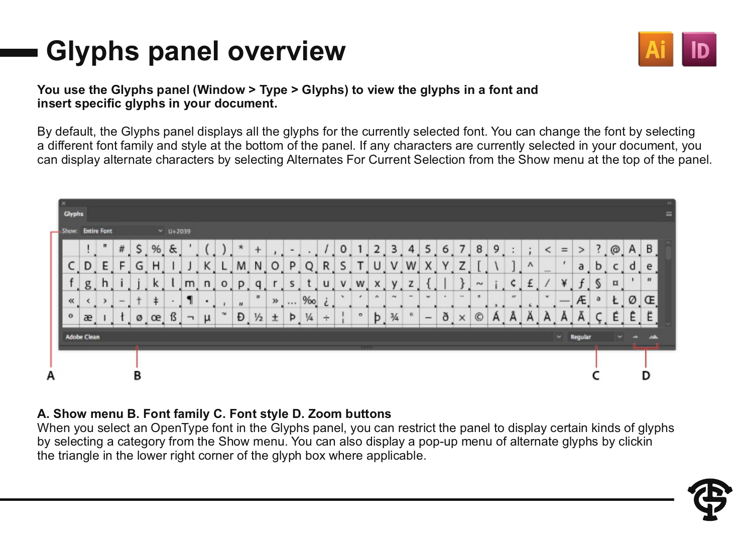### **Glyphs panel overview**



#### **You use the Glyphs panel (Window > Type > Glyphs) to view the glyphs in a font and insert specific glyphs in your document.**

By default, the Glyphs panel displays all the glyphs for the currently selected font. You can change the font by selecting a different font family and style at the bottom of the panel. If any characters are currently selected in your document, you can display alternate characters by selecting Alternates For Current Selection from the Show menu at the top of the panel.

| <b>Glyphs</b>     |                    |              |               |    |    |                            |   |   |      |                  |              |       |   |               |    |    |         |        |               |                                                                                                |                 |                      |          |            |   |          |   |               |              |                |   |                |              |              | <b>CE</b><br>= |
|-------------------|--------------------|--------------|---------------|----|----|----------------------------|---|---|------|------------------|--------------|-------|---|---------------|----|----|---------|--------|---------------|------------------------------------------------------------------------------------------------|-----------------|----------------------|----------|------------|---|----------|---|---------------|--------------|----------------|---|----------------|--------------|--------------|----------------|
| Show: Entire Font |                    |              |               |    |    | $~\vee~$ U+2039            |   |   |      |                  |              |       |   |               |    |    |         |        |               |                                                                                                |                 |                      |          |            |   |          |   |               |              |                |   |                |              |              |                |
|                   |                    | $\mathbf{H}$ | $\#$          | \$ | %  | $\boldsymbol{\mathcal{S}}$ |   |   |      |                  | $\ddot{}$    |       |   |               |    | 0  |         |        | з             | 4                                                                                              | 5               | 6                    | 7        | 8          | 9 |          | ÷ | <             | $=$          | ⋗              | ? | @              | $\mathsf{A}$ | B            |                |
| L                 | D                  | E            | F             | G  | H  |                            |   | K | ┕    | M                | N.           | O     | P | Q             | R  | S. | T.      | U      | V             | W                                                                                              | X               | Υ                    | Z        |            |   |          | Λ | $\frac{1}{2}$ | $\mathbf{r}$ | a              | Ь | c              | d            | e            |                |
|                   | g                  | h            |               |    | ĸ  |                            | m | n | $-0$ | P                | a            |       | s |               | u  | v  | w       | x      | v             | z                                                                                              |                 |                      |          | $\sim$     |   | ¢        | £ |               | ¥            | £              | s | $\overline{a}$ |              | $\mathbf{u}$ |                |
| $\propto$         |                    |              | $\frac{1}{2}$ |    | ŧ. |                            |   | ٠ |      | $\boldsymbol{v}$ | $\mathbf{H}$ | $\gg$ |   | %             | i. |    |         | $\sim$ | $\sim$        | $\frac{1}{2} \left( \frac{1}{2} \right) \left( \frac{1}{2} \right) \left( \frac{1}{2} \right)$ | $\omega$        | $\ddot{\phantom{1}}$ |          | $\bullet$  |   | $\theta$ |   | $\mathbf{w}$  |              | Æ              | a | Ł              | Ø            | Œ            |                |
| $\circ$           | æ                  |              |               | Ø  | œ  | ß                          | ┑ | и | TM.  | Ð                | ⅓            | ±     | Þ | $\frac{1}{4}$ | ÷  |    | $\circ$ | b      | $\frac{3}{4}$ |                                                                                                | $\qquad \qquad$ | ð                    | $\times$ | $^{\circ}$ | А | A        | Ä | А             |              |                |   | É              | Ê            | Ë            |                |
|                   | <b>Adobe Clean</b> |              |               |    |    |                            |   |   |      |                  |              |       |   |               |    |    |         |        |               |                                                                                                |                 |                      |          |            |   |          |   |               |              | $\sim$ Regular |   |                |              | حادد         |                |
|                   |                    |              |               |    |    |                            |   |   |      |                  |              |       |   |               |    |    | .       |        |               |                                                                                                |                 |                      |          |            |   |          |   |               |              |                |   |                |              | __           |                |
|                   |                    |              |               | в  |    |                            |   |   |      |                  |              |       |   |               |    |    |         |        |               |                                                                                                |                 |                      |          |            |   |          |   |               |              |                |   |                |              | D            |                |

#### **A. Show menu B. Font family C. Font style D. Zoom buttons**

When you select an OpenType font in the Glyphs panel, you can restrict the panel to display certain kinds of glyphs by selecting a category from the Show menu. You can also display a pop-up menu of alternate glyphs by clickin the triangle in the lower right corner of the glyph box where applicable.

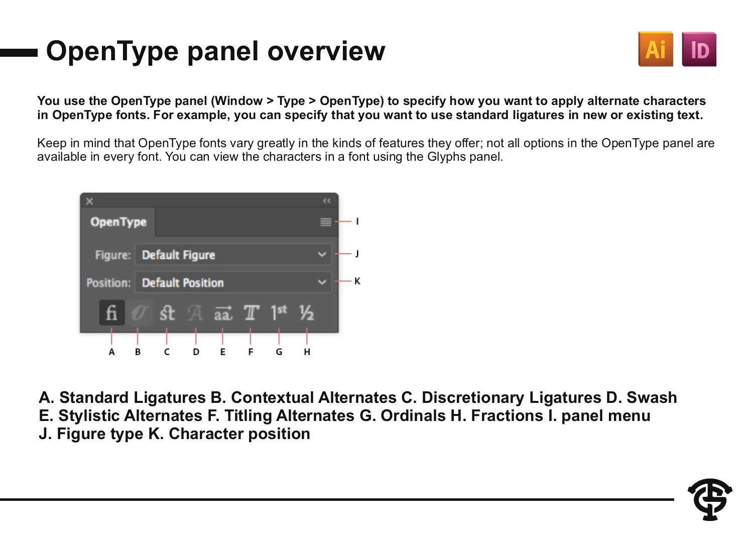### **OpenType panel overview**



#### **You use the OpenType panel (Window > Type > OpenType) to specify how you want to apply alternate characters in OpenType fonts. For example, you can specify that you want to use standard ligatures in new or existing text.**

Keep in mind that OpenType fonts vary greatly in the kinds of features they offer; not all options in the OpenType panel are available in every font. You can view the characters in a font using the Glyphs panel.



**A. Standard Ligatures B. Contextual Alternates C. Discretionary Ligatures D. Swash E. Stylistic Alternates F. Titling Alternates G. Ordinals H. Fractions I. panel menu J. Figure type K. Character position**